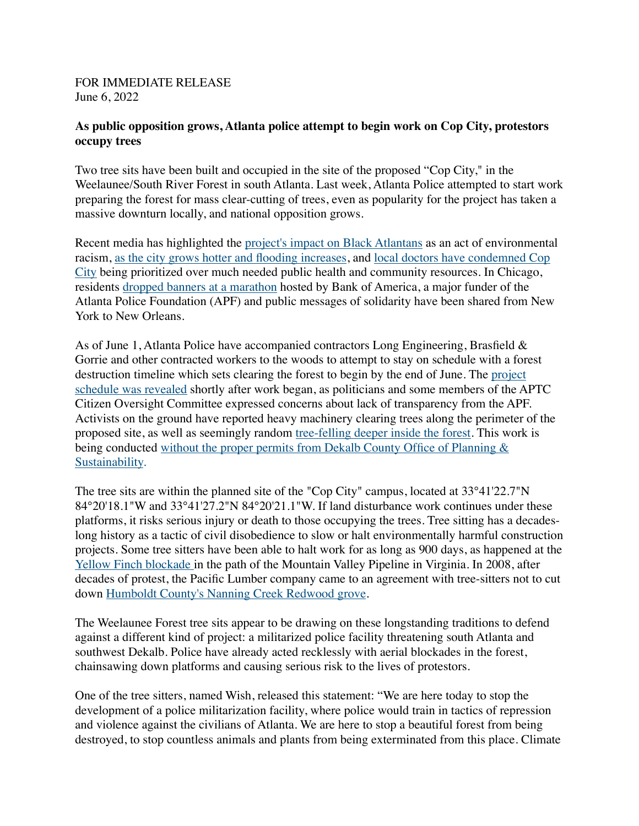## FOR IMMEDIATE RELEASE June 6, 2022

## **As public opposition grows, Atlanta police attempt to begin work on Cop City, protestors occupy trees**

Two tree sits have been built and occupied in the site of the proposed "Cop City," in the Weelaunee/South River Forest in south Atlanta. Last week, Atlanta Police attempted to start work preparing the forest for mass clear-cutting of trees, even as popularity for the project has taken a massive downturn locally, and national opposition grows.

Recent media has highlighted the [project's impact on Black Atlantans](https://atlanta.capitalbnews.org/atlanta-cop-city-climate-change/) as an act of environmental racism, [as the city grows hotter and flooding increases](https://edition.cnn.com/2021/09/18/weather/extreme-urban-heat-environmental-racism-climate/index.html), and [local doctors have condemned Cop](https://defendtheatlantaforest.org/2022/06/06/emory-doctors-condemn-cop-city-call-to-fund-public-health-initiatives-instead/)  [City](https://defendtheatlantaforest.org/2022/06/06/emory-doctors-condemn-cop-city-call-to-fund-public-health-initiatives-instead/) being prioritized over much needed public health and community resources. In Chicago, residents [dropped banners at a marathon](https://www.facebook.com/RisingTideChicago/posts/pfbid02ryiqE1VsoyQ7YidH9VzbiFtAhmiYUfbHLmSn4LmqjQcjj2K4Y5SFTvtc3aSMmvBVl) hosted by Bank of America, a major funder of the Atlanta Police Foundation (APF) and public messages of solidarity have been shared from New York to New Orleans.

As of June 1, Atlanta Police have accompanied contractors Long Engineering, Brasfield & Gorrie and other contracted workers to the woods to attempt to stay on schedule with a forest destruction timeline which sets clearing the forest to begin by the end of June. The [project](https://saportareport.com/officials-fed-up-with-training-center-secrecy-release-permit-application-plan-opposition-resolution/sections/reports/johnruch/)  [schedule was revealed](https://saportareport.com/officials-fed-up-with-training-center-secrecy-release-permit-application-plan-opposition-resolution/sections/reports/johnruch/) shortly after work began, as politicians and some members of the APTC Citizen Oversight Committee expressed concerns about lack of transparency from the APF. Activists on the ground have reported heavy machinery clearing trees along the perimeter of the proposed site, as well as seemingly random [tree-felling deeper inside the forest](https://twitter.com/defendATLforest/status/1533930462175019008). This work is being conducted without the proper permits from Dekalb County Office of Planning & [Sustainability.](https://atlpresscollective.com/2022/01/28/media-advisory-no-permit-cop-city-project-doesnt-seem-to-care/)

The tree sits are within the planned site of the "Cop City" campus, located at 33°41'22.7"N 84°20'18.1"W and 33°41'27.2"N 84°20'21.1"W. If land disturbance work continues under these platforms, it risks serious injury or death to those occupying the trees. Tree sitting has a decadeslong history as a tactic of civil disobedience to slow or halt environmentally harmful construction projects. Some tree sitters have been able to halt work for as long as 900 days, as happened at the [Yellow Finch blockade i](https://thetrek.co/appalachian-trail/yellow-finch-tree-sitters-continue-to-defy-mountain-valley-pipeline/)n the path of the Mountain Valley Pipeline in Virginia. In 2008, after decades of protest, the Pacific Lumber company came to an agreement with tree-sitters not to cut down [Humboldt County's Nanning Creek Redwood grove.](http://usatoday30.usatoday.com/news/nation/2008-09-23-2743010178_x.htm) 

The Weelaunee Forest tree sits appear to be drawing on these longstanding traditions to defend against a different kind of project: a militarized police facility threatening south Atlanta and southwest Dekalb. Police have already acted recklessly with aerial blockades in the forest, chainsawing down platforms and causing serious risk to the lives of protestors.

One of the tree sitters, named Wish, released this statement: "We are here today to stop the development of a police militarization facility, where police would train in tactics of repression and violence against the civilians of Atlanta. We are here to stop a beautiful forest from being destroyed, to stop countless animals and plants from being exterminated from this place. Climate